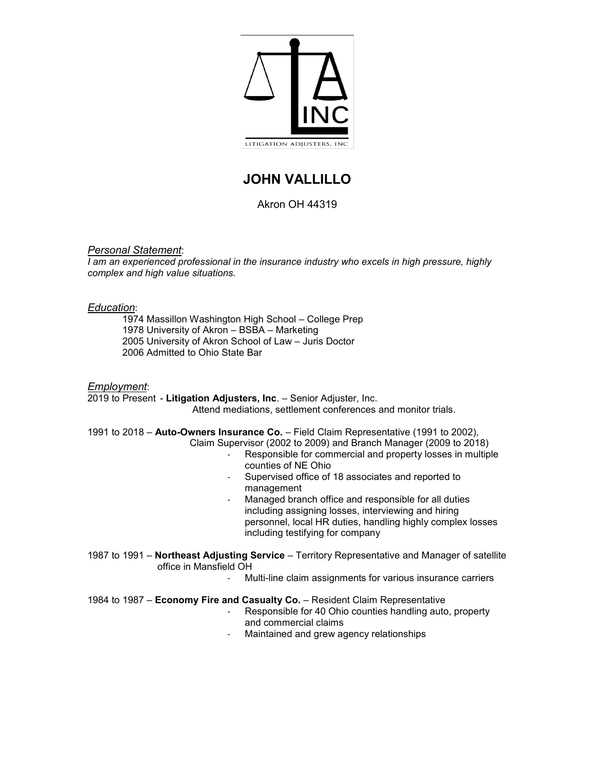

# **JOHN VALLILLO**

# Akron OH 44319

# *Personal Statement*:

*I* am an experienced professional in the insurance industry who excels in high pressure, highly *complex and high value situations.* 

# *Education*:

1974 Massillon Washington High School – College Prep 1978 University of Akron – BSBA – Marketing 2005 University of Akron School of Law – Juris Doctor 2006 Admitted to Ohio State Bar

#### *Employment*:

2019 to Present - **Litigation Adjusters, Inc**. – Senior Adjuster, Inc. Attend mediations, settlement conferences and monitor trials.

1991 to 2018 – **Auto-Owners Insurance Co.** – Field Claim Representative (1991 to 2002), Claim Supervisor (2002 to 2009) and Branch Manager (2009 to 2018)

- Responsible for commercial and property losses in multiple counties of NE Ohio
- Supervised office of 18 associates and reported to management
- Managed branch office and responsible for all duties including assigning losses, interviewing and hiring personnel, local HR duties, handling highly complex losses including testifying for company
- 1987 to 1991 **Northeast Adjusting Service** Territory Representative and Manager of satellite office in Mansfield OH
	- Multi-line claim assignments for various insurance carriers

# 1984 to 1987 – **Economy Fire and Casualty Co.** – Resident Claim Representative

- Responsible for 40 Ohio counties handling auto, property and commercial claims
- Maintained and grew agency relationships